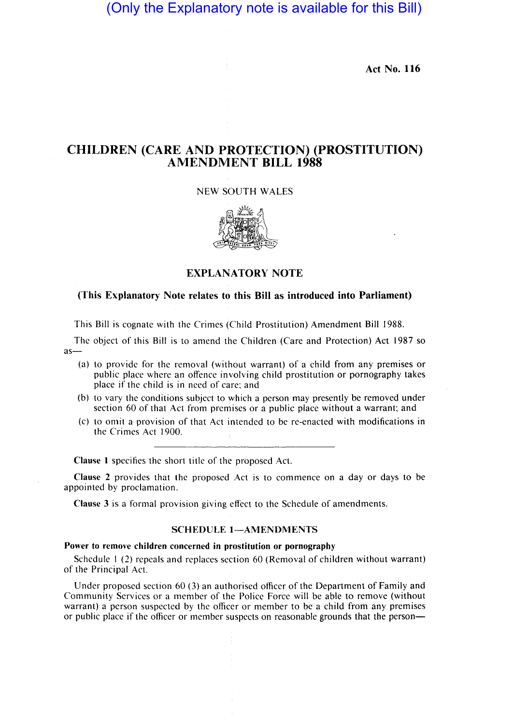# (Only the Explanatory note is available for this Bill)

**Act No. 116** 

## **CHILDREN (CARE AND PROTECTION) (PROSTITUTION) AMENDMENT BILL 1988**

### NEW SOUTH WALES



### **EXPLANATORY NOTE**

### (This Explanatory Note relates to this Bill as introduced into Parliament)

This Bill is cognate with the Crimes (Child Prostitution) Amendment Bill 1988.

The object of this Bill is to amend the Children (Care and Protection) Act 1987 so as-

- (a) to provide for the removal (without warrant) of a child from any premises or public place where an offence involving child prostitution or pornography takes place if the child is in need of care; and
- (b) to vary the conditions subject to which a person may presently be removed under section 60 of that Act from premises or a public place without a warrant; and
- (c) to omit a provision of that Act intended to be re-enacted with modifications in the Crimes Act 1900.

**Clause 1 specifies the short title of the proposed Act.** 

Clause 2 provides that the proposed Act is to commence on a day or days to be appointed by proclamation.

**Clause** 3 is a formal provision giving bffect to the Schedule of amendments.

I

#### **SCHEDULE 1-AMENDMENTS**

#### Power to remove children concerned in prostitution or pornography

Schedule  $1(2)$  repeals and replaces section 60 (Removal of children without warrant) of the Principal Act.

Under proposed section  $60$  (3) an authorised officer of the Department of Family and Community Services or a member of the Police Force will be able to remove (without warrant) a person suspected by the officer or member to be a child from any premises or public place if the officer or member suspects on reasonable grounds that the person-